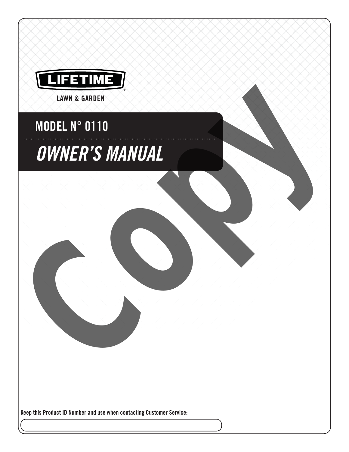

# MODEL N° 0110

# OWNER'S MANUAL MODEL N° 0110<br>
OWNER'S MANUAL<br>
COPY OF THE COPY OF THE COPY OF THE COPY OF THE COPY OF THE COPY OF THE COPY OF THE COPY OF THE COPY OF THE COPY OF THE COPY OF THE COPY OF THE COPY OF THE COPY OF THE COPY OF THE COPY OF THE

Keep this Product ID Number and use when contacting Customer Service: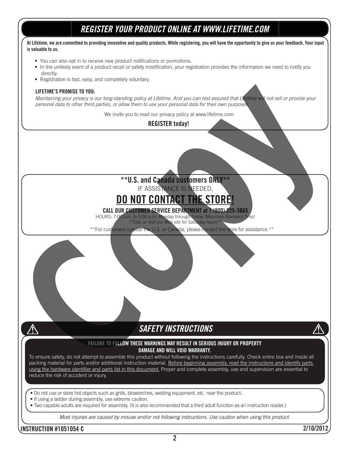# REGISTER YOUR PRODUCT ONLINE AT WWW.LIFETIME.COM

#### At Lifetime, we are committed to providing innovative and quality products. While registering, you will have the opportunity to give us your feedback. Your input is valuable to us.

- You can also opt in to receive new product notifications or promotions.
- In the unlikely event of a product recall or safety modification, your registration provides the information we need to notify you directly.
- Registration is fast, easy, and completely voluntary.

#### LIFETIME'S PROMISE TO YOU:

Maintaining your privacy is our long-standing policy at Lifetime. And you can rest assured that Lifetime will not sell or provide your personal data to other third parties, or allow them to use your personal data for their own purposes. FIRST EXAMPLE OF THE CONTRACT IS CONTRACT THE CONTRACT THE CONTRACT THE CONTRACT THE CONTRACT THE CONTRACT THE CONTRACT THE CONTRACT THE CONTRACT THE CONTRACT THE CONTRACT THE CONTRACT THE CONTRACT THE CONTRACT THE CONTRAC

We invite you to read our privacy policy at www.lifetime.com

#### REGISTER today!

#### \*\*U.S. and Canada customers ONLY\*\* IF ASSISTANCE IS NEEDED,

# DO NOT CONTACT THE STORE!

CALL OUR CUSTOMER SERVICE DEPARTMENT at 1 (800) 225-3865

HOURS: 7:00 a.m. to 5:00 p.m. Monday through Friday (Mountain Standard Time) all, or visit our Web site for Saturday hours\*\*

\*\*For customers outside the U.S. or Canada, please contact the store for assistance.\*\*

### SAFETY INSTRUCTIONS

#### FAILURE TO FOLLOW THESE WARNINGS MAY RESULT IN SERIOUS INJURY OR PROPERTY DAMAGE AND WILL VOID WARRANTY.

To ensure safety, do not attempt to assemble this product without following the instructions carefully. Check entire box and inside all packing material for parts and/or additional instruction material. Before beginning assembly, read the instructions and identify parts using the hardware identifier and parts list in this document. Proper and complete assembly, use and supervision are essential to reduce the risk of accident or injury.

• Do not use or store hot objects such as grills, blowtorches, welding equipment, etc. near the product.

- If using a ladder during assembly, use extreme caution.
- $\bullet$  Two capable adults are required for assembly. (It is also recommended that a third adult function as an instruction reader.)

Most injuries are caused by misuse and/or not following instructions. Use caution when using this product.

#### INSTRUCTION #1051054 C 2/10/2012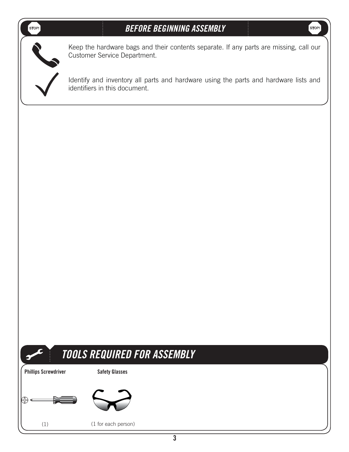## **STOPI**

**STOP!** 



Keep the hardware bags and their contents separate. If any parts are missing, call our Customer Service Department.

Identify and inventory all parts and hardware using the parts and hardware lists and identifiers in this document.



# TOOLS REQUIRED FOR ASSEMBLY

Phillips Screwdriver Safety Glasses



 $(1)$ 

) (1 for each person)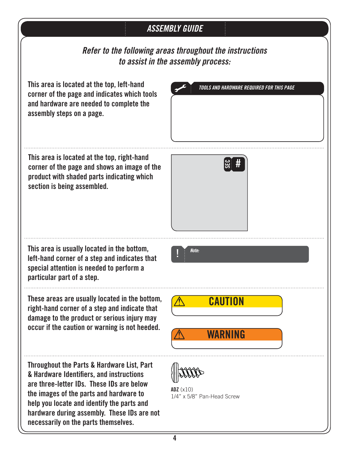# ASSEMBLY GUIDE

Refer to the following areas throughout the instructions to assist in the assembly process:

This area is located at the top, left-hand corner of the page and indicates which tools and hardware are needed to complete the assembly steps on a page.

TOOLS AND HARDWARE REQUIRED FOR THIS PAGE

SEC #

This area is located at the top, right-hand corner of the page and shows an image of the product with shaded parts indicating which section is being assembled.

This area is usually located in the bottom, left-hand corner of a step and indicates that special attention is needed to perform a particular part of a step.

These areas are usually located in the bottom, right-hand corner of a step and indicate that damage to the product or serious injury may occur if the caution or warning is not heeded.

Throughout the Parts & Hardware List, Part & Hardware Identifiers, and instructions are three-letter IDs. These IDs are below the images of the parts and hardware to help you locate and identify the parts and hardware during assembly. These IDs are not necessarily on the parts themselves.

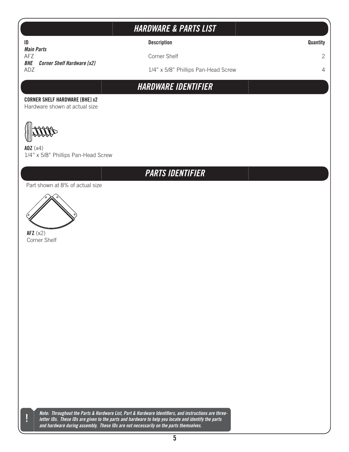# HARDWARE & PARTS LIST

ID **ID Description Description Description** 

1/4" x 5/8" Phillips Pan-Head Screw 4

*Main Parts*<br>AFZ "'; \$PSOFS4IFMG **BHE Corner Shelf Hardware [x2]**<br>ADZ

HARDWARE IDENTIFIER

#### CORNER SHELF HARDWARE [BHE] x2

Hardware shown at actual size

**ADZ** (x4) 1/4" x 5/8" Phillips Pan-Head Screw

# PARTS IDENTIFIER

Part shown at 8% of actual size



AFZ  $(x2)$ Corner Shelf

!<br>!

Note: Throughout the Parts & Hardware List, Part & Hardware Identifiers, and instructions are threeletter IDs. These IDs are given to the parts and hardware to help you locate and identify the parts and hardware during assembly. These IDs are not necessarily on the parts themselves.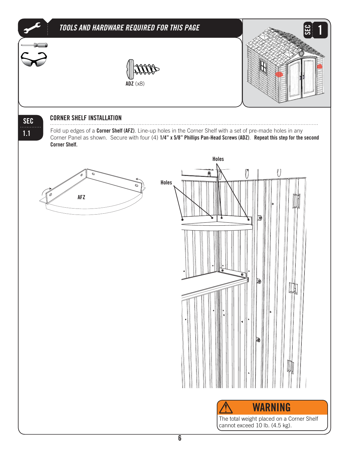